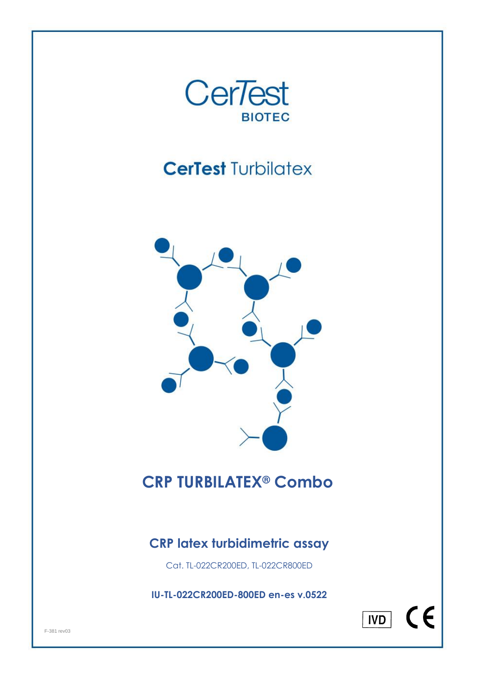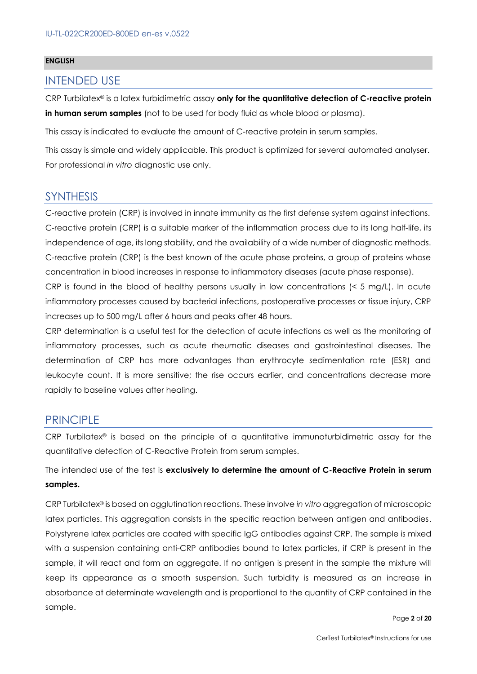#### **ENGLISH**

#### INTENDED USE

CRP Turbilatex® is a latex turbidimetric assay **only for the quantitative detection of C-reactive protein in human serum samples** (not to be used for body fluid as whole blood or plasma).

This assay is indicated to evaluate the amount of C-reactive protein in serum samples.

This assay is simple and widely applicable. This product is optimized for several automated analyser. For professional *in vitro* diagnostic use only.

#### **SYNTHESIS**

C-reactive protein (CRP) is involved in innate immunity as the first defense system against infections. C-reactive protein (CRP) is a suitable marker of the inflammation process due to its long half-life, its independence of age, its long stability, and the availability of a wide number of diagnostic methods. C-reactive protein (CRP) is the best known of the acute phase proteins, a group of proteins whose concentration in blood increases in response to inflammatory diseases (acute phase response).

CRP is found in the blood of healthy persons usually in low concentrations (< 5 mg/L). In acute inflammatory processes caused by bacterial infections, postoperative processes or tissue injury, CRP increases up to 500 mg/L after 6 hours and peaks after 48 hours.

CRP determination is a useful test for the detection of acute infections as well as the monitoring of inflammatory processes, such as acute rheumatic diseases and gastrointestinal diseases. The determination of CRP has more advantages than erythrocyte sedimentation rate (ESR) and leukocyte count. It is more sensitive; the rise occurs earlier, and concentrations decrease more rapidly to baseline values after healing.

#### PRINCIPLE

CRP Turbilatex® is based on the principle of a quantitative immunoturbidimetric assay for the quantitative detection of C-Reactive Protein from serum samples.

The intended use of the test is **exclusively to determine the amount of C-Reactive Protein in serum samples.**

CRP Turbilatex® is based on agglutination reactions. These involve *in vitro* aggregation of microscopic latex particles. This aggregation consists in the specific reaction between antigen and antibodies. Polystyrene latex particles are coated with specific IgG antibodies against CRP. The sample is mixed with a suspension containing anti-CRP antibodies bound to latex particles, if CRP is present in the sample, it will react and form an aggregate. If no antigen is present in the sample the mixture will keep its appearance as a smooth suspension. Such turbidity is measured as an increase in absorbance at determinate wavelength and is proportional to the quantity of CRP contained in the sample.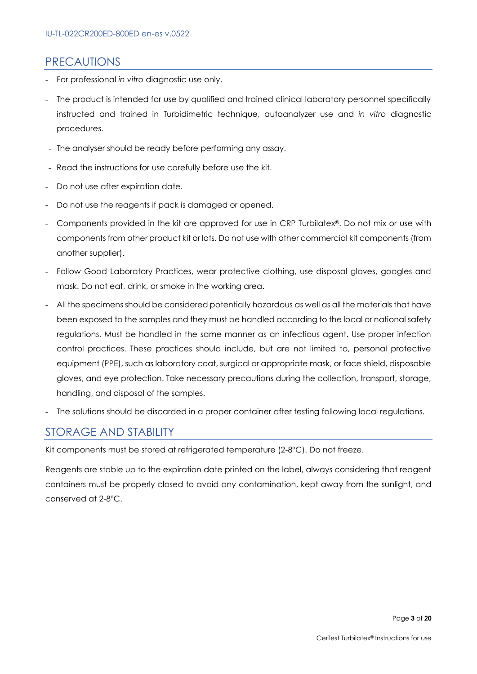#### **PRECAUTIONS**

- For professional *in vitro* diagnostic use only.
- The product is intended for use by qualified and trained clinical laboratory personnel specifically instructed and trained in Turbidimetric technique, autoanalyzer use and *in vitro* diagnostic procedures.
- The analyser should be ready before performing any assay.
- Read the instructions for use carefully before use the kit.
- Do not use after expiration date.
- Do not use the reagents if pack is damaged or opened.
- Components provided in the kit are approved for use in CRP Turbilatex®. Do not mix or use with components from other product kit or lots. Do not use with other commercial kit components (from another supplier).
- Follow Good Laboratory Practices, wear protective clothing, use disposal gloves, googles and mask. Do not eat, drink, or smoke in the working area.
- All the specimens should be considered potentially hazardous as well as all the materials that have been exposed to the samples and they must be handled according to the local or national safety regulations. Must be handled in the same manner as an infectious agent. Use proper infection control practices. These practices should include, but are not limited to, personal protective equipment (PPE), such as laboratory coat, surgical or appropriate mask, or face shield, disposable gloves, and eye protection. Take necessary precautions during the collection, transport, storage, handling, and disposal of the samples.
- The solutions should be discarded in a proper container after testing following local regulations.

## STORAGE AND STABILITY

Kit components must be stored at refrigerated temperature (2-8ºC). Do not freeze.

Reagents are stable up to the expiration date printed on the label, always considering that reagent containers must be properly closed to avoid any contamination, kept away from the sunlight, and conserved at 2-8ºC.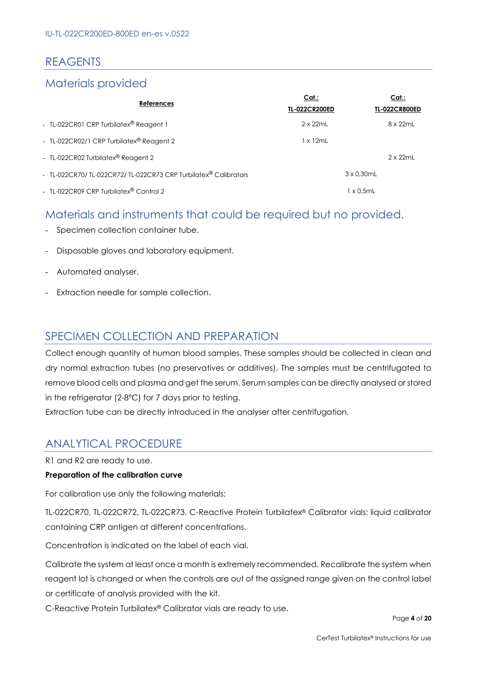## REAGENTS

#### Materials provided

| References                                                     | Cat.<br><b>TL-022CR200ED</b> | Cat.<br><b>TL-022CR800ED</b> |
|----------------------------------------------------------------|------------------------------|------------------------------|
| - TL-022CR01 CRP Turbilatex® Reagent 1                         | $2 \times 22$ ml             | 8 x 22mL                     |
| - TL-022CR02/1 CRP Turbilatex® Reagent 2                       | 1 x 12mL                     |                              |
| - TL-022CR02 Turbilatex® Reagent 2                             |                              | $2 \times 22$ ml             |
| - TL-022CR70/TL-022CR72/TL-022CR73 CRP Turbilatex® Calibrators |                              | $3 \times 0.30$ mL           |
| - TL-022CR09 CRP Turbilatex® Control 2                         |                              | $1 \times 0.5$ mL            |

## Materials and instruments that could be required but no provided.

- Specimen collection container tube.
- Disposable gloves and laboratory equipment.
- Automated analyser.
- Extraction needle for sample collection.

#### SPECIMEN COLLECTION AND PREPARATION

Collect enough quantity of human blood samples. These samples should be collected in clean and dry normal extraction tubes (no preservatives or additives). The samples must be centrifugated to remove blood cells and plasma and get the serum. Serum samples can be directly analysed or stored in the refrigerator (2-8ºC) for 7 days prior to testing.

Extraction tube can be directly introduced in the analyser after centrifugation.

## ANALYTICAL PROCEDURE

R1 and R2 are ready to use.

#### **Preparation of the calibration curve**

For calibration use only the following materials:

TL-022CR70, TL-022CR72, TL-022CR73, C-Reactive Protein Turbilatex® Calibrator vials: liquid calibrator containing CRP antigen at different concentrations.

Concentration is indicated on the label of each vial.

Calibrate the system at least once a month is extremely recommended. Recalibrate the system when reagent lot is changed or when the controls are out of the assigned range given on the control label or certificate of analysis provided with the kit.

C-Reactive Protein Turbilatex® Calibrator vials are ready to use.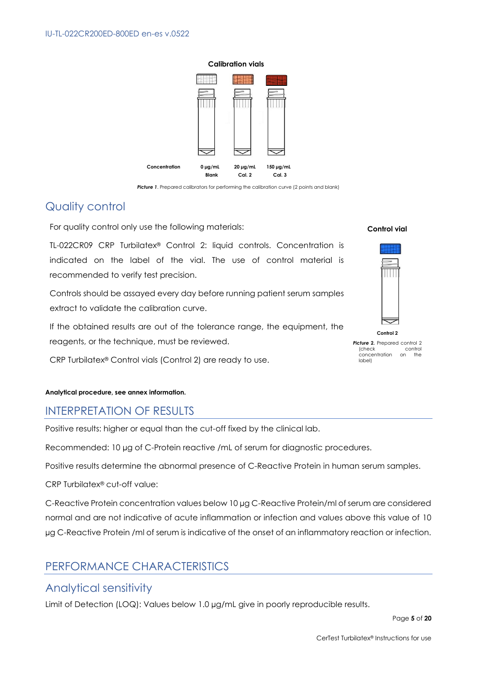

**Picture 1.** Prepared calibrators for performing the calibration curve (2 points and blank)

## Quality control

For quality control only use the following materials:

TL-022CR09 CRP Turbilatex® Control 2: liquid controls. Concentration is indicated on the label of the vial. The use of control material is recommended to verify test precision.

Controls should be assayed every day before running patient serum samples extract to validate the calibration curve.

If the obtained results are out of the tolerance range, the equipment, the reagents, or the technique, must be reviewed.

CRP Turbilatex® Control vials (Control 2) are ready to use.

#### **Analytical procedure, see annex information.**

#### INTERPRETATION OF RESULTS

Positive results: higher or equal than the cut-off fixed by the clinical lab.

Recommended: 10 µg of C-Protein reactive /mL of serum for diagnostic procedures.

Positive results determine the abnormal presence of C-Reactive Protein in human serum samples.

CRP Turbilatex® cut-off value:

C-Reactive Protein concentration values below 10 µg C-Reactive Protein/ml of serum are considered normal and are not indicative of acute inflammation or infection and values above this value of 10 µg C-Reactive Protein /ml of serum is indicative of the onset of an inflammatory reaction or infection.

## PERFORMANCE CHARACTERISTICS

#### Analytical sensitivity

Limit of Detection (LOQ): Values below 1.0 µg/mL give in poorly reproducible results.

#### **Control vial**



**Picture 2.** Prepared control 2 (check control<br>concentration on the concentration on label)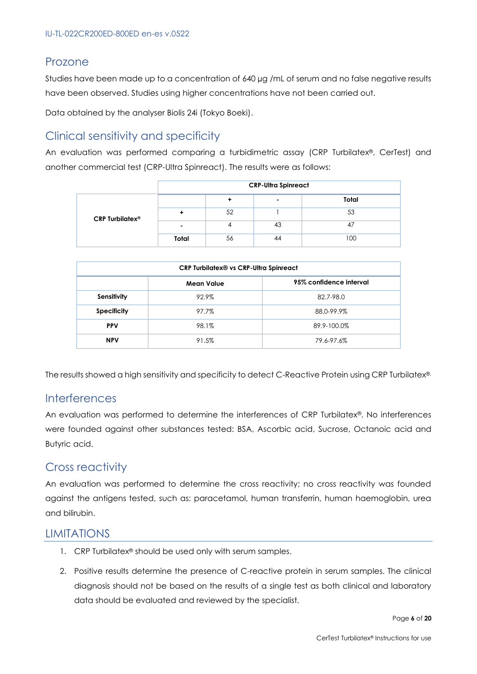#### Prozone

Studies have been made up to a concentration of 640 µg /mL of serum and no false negative results have been observed. Studies using higher concentrations have not been carried out.

Data obtained by the analyser Biolis 24i (Tokyo Boeki).

## Clinical sensitivity and specificity

An evaluation was performed comparing a turbidimetric assay (CRP Turbilatex®, CerTest) and another commercial test (CRP-Ultra Spinreact). The results were as follows:

|                                   | <b>CRP-Ultra Spinreact</b> |    |                |       |
|-----------------------------------|----------------------------|----|----------------|-------|
| <b>CRP Turbilatex<sup>®</sup></b> |                            |    | $\blacksquare$ | Total |
|                                   |                            | 52 |                | 53    |
|                                   |                            |    | 43             | 47    |
|                                   | Total                      | 56 | 44             | 100   |

| <b>CRP Turbilatex® vs CRP-Ultra Spinreact</b> |            |                         |  |  |
|-----------------------------------------------|------------|-------------------------|--|--|
|                                               | Mean Value | 95% confidence interval |  |  |
| Sensitivity                                   | 92.9%      | 82.7-98.0               |  |  |
| <b>Specificity</b>                            | 97.7%      | 88.0-99.9%              |  |  |
| <b>PPV</b>                                    | 98.1%      | 89.9-100.0%             |  |  |
| <b>NPV</b>                                    | 91.5%      | 79.6-97.6%              |  |  |

The results showed a high sensitivity and specificity to detect C-Reactive Protein using CRP Turbilatex®.

#### Interferences

An evaluation was performed to determine the interferences of CRP Turbilatex®. No interferences were founded against other substances tested: BSA, Ascorbic acid, Sucrose, Octanoic acid and Butyric acid.

## Cross reactivity

An evaluation was performed to determine the cross reactivity; no cross reactivity was founded against the antigens tested, such as: paracetamol, human transferrin, human haemoglobin, urea and bilirubin.

#### **LIMITATIONS**

- 1. CRP Turbilatex® should be used only with serum samples.
- 2. Positive results determine the presence of C-reactive protein in serum samples. The clinical diagnosis should not be based on the results of a single test as both clinical and laboratory data should be evaluated and reviewed by the specialist.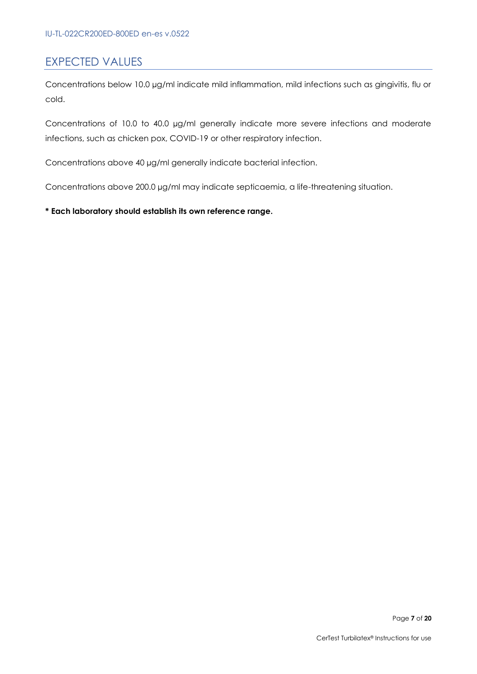#### EXPECTED VALUES

Concentrations below 10.0 µg/ml indicate mild inflammation, mild infections such as gingivitis, flu or cold.

Concentrations of 10.0 to 40.0 µg/ml generally indicate more severe infections and moderate infections, such as chicken pox, COVID-19 or other respiratory infection.

Concentrations above 40 µg/ml generally indicate bacterial infection.

Concentrations above 200.0 µg/ml may indicate septicaemia, a life-threatening situation.

#### **\* Each laboratory should establish its own reference range.**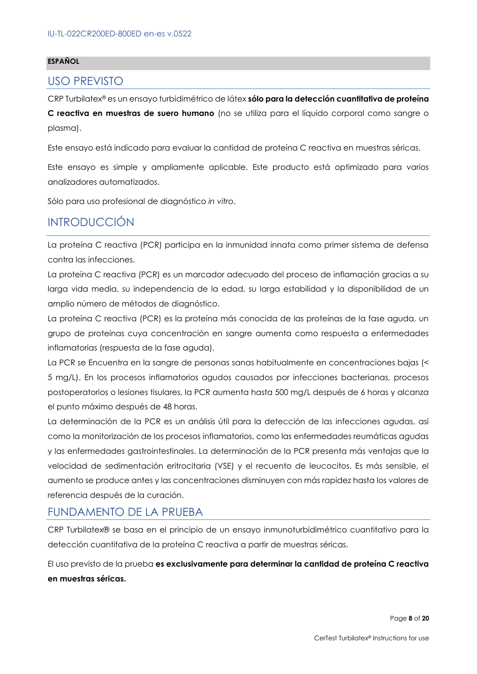#### **ESPAÑOL**

#### USO PREVISTO

CRP Turbilatex® es un ensayo turbidimétrico de látex **sólo para la detección cuantitativa de proteína** 

**C reactiva en muestras de suero humano** (no se utiliza para el líquido corporal como sangre o plasma).

Este ensayo está indicado para evaluar la cantidad de proteína C reactiva en muestras séricas.

Este ensayo es simple y ampliamente aplicable. Este producto está optimizado para varios analizadores automatizados.

Sólo para uso profesional de diagnóstico *in vitro*.

## INTRODUCCIÓN

La proteína C reactiva (PCR) participa en la inmunidad innata como primer sistema de defensa contra las infecciones.

La proteína C reactiva (PCR) es un marcador adecuado del proceso de inflamación gracias a su larga vida media, su independencia de la edad, su larga estabilidad y la disponibilidad de un amplio número de métodos de diagnóstico.

La proteína C reactiva (PCR) es la proteína más conocida de las proteínas de la fase aguda, un grupo de proteínas cuya concentración en sangre aumenta como respuesta a enfermedades inflamatorias (respuesta de la fase aguda).

La PCR se Encuentra en la sangre de personas sanas habitualmente en concentraciones bajas (< 5 mg/L). En los procesos inflamatorios agudos causados por infecciones bacterianas, procesos postoperatorios o lesiones tisulares, la PCR aumenta hasta 500 mg/L después de 6 horas y alcanza el punto máximo después de 48 horas.

La determinación de la PCR es un análisis útil para la detección de las infecciones agudas, así como la monitorización de los procesos inflamatorios, como las enfermedades reumáticas agudas y las enfermedades gastrointestinales. La determinación de la PCR presenta más ventajas que la velocidad de sedimentación eritrocitaria (VSE) y el recuento de leucocitos. Es más sensible, el aumento se produce antes y las concentraciones disminuyen con más rapidez hasta los valores de referencia después de la curación.

#### FUNDAMENTO DE LA PRUEBA

CRP Turbilatex® se basa en el principio de un ensayo inmunoturbidimétrico cuantitativo para la detección cuantitativa de la proteína C reactiva a partir de muestras séricas.

El uso previsto de la prueba **es exclusivamente para determinar la cantidad de proteína C reactiva en muestras séricas.**

Page **8** of **20**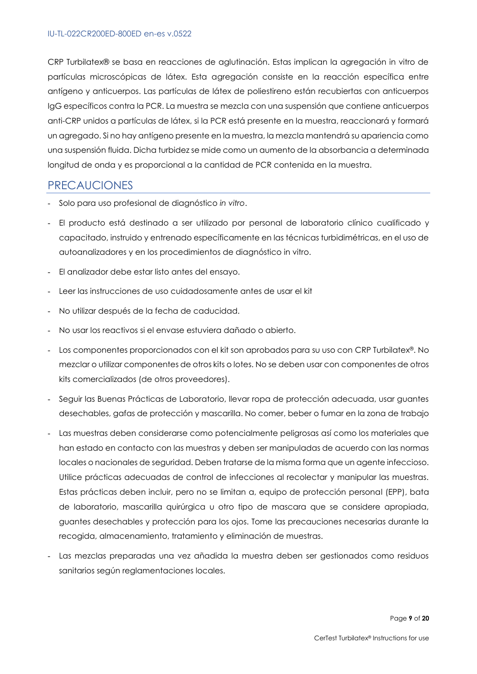CRP Turbilatex® se basa en reacciones de aglutinación. Estas implican la agregación in vitro de partículas microscópicas de látex. Esta agregación consiste en la reacción específica entre antígeno y anticuerpos. Las partículas de látex de poliestireno están recubiertas con anticuerpos IgG específicos contra la PCR. La muestra se mezcla con una suspensión que contiene anticuerpos anti-CRP unidos a partículas de látex, si la PCR está presente en la muestra, reaccionará y formará un agregado. Si no hay antígeno presente en la muestra, la mezcla mantendrá su apariencia como una suspensión fluida. Dicha turbidez se mide como un aumento de la absorbancia a determinada longitud de onda y es proporcional a la cantidad de PCR contenida en la muestra.

#### PRECAUCIONES

- Solo para uso profesional de diagnóstico *in vitro*.
- El producto está destinado a ser utilizado por personal de laboratorio clínico cualificado y capacitado, instruido y entrenado específicamente en las técnicas turbidimétricas, en el uso de autoanalizadores y en los procedimientos de diagnóstico in vitro.
- El analizador debe estar listo antes del ensayo.
- Leer las instrucciones de uso cuidadosamente antes de usar el kit
- No utilizar después de la fecha de caducidad.
- No usar los reactivos si el envase estuviera dañado o abierto.
- Los componentes proporcionados con el kit son aprobados para su uso con CRP Turbilatex®. No mezclar o utilizar componentes de otros kits o lotes. No se deben usar con componentes de otros kits comercializados (de otros proveedores).
- Seguir las Buenas Prácticas de Laboratorio, llevar ropa de protección adecuada, usar guantes desechables, gafas de protección y mascarilla. No comer, beber o fumar en la zona de trabajo
- Las muestras deben considerarse como potencialmente peligrosas así como los materiales que han estado en contacto con las muestras y deben ser manipuladas de acuerdo con las normas locales o nacionales de seguridad. Deben tratarse de la misma forma que un agente infeccioso. Utilice prácticas adecuadas de control de infecciones al recolectar y manipular las muestras. Estas prácticas deben incluir, pero no se limitan a, equipo de protección personal (EPP), bata de laboratorio, mascarilla quirúrgica u otro tipo de mascara que se considere apropiada, guantes desechables y protección para los ojos. Tome las precauciones necesarias durante la recogida, almacenamiento, tratamiento y eliminación de muestras.
- Las mezclas preparadas una vez añadida la muestra deben ser gestionados como residuos sanitarios según reglamentaciones locales.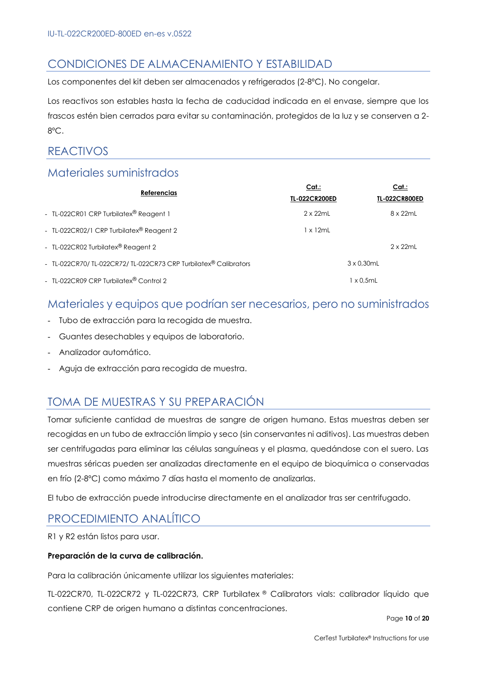## CONDICIONES DE ALMACENAMIENTO Y ESTABILIDAD

Los componentes del kit deben ser almacenados y refrigerados (2-8ºC). No congelar.

Los reactivos son estables hasta la fecha de caducidad indicada en el envase, siempre que los frascos estén bien cerrados para evitar su contaminación, protegidos de la luz y se conserven a 2- 8ºC.

## REACTIVOS

#### Materiales suministrados

| <b>Referencias</b>                                             | Cat:<br><b>TL-022CR200ED</b> | Cat.<br><b>TL-022CR800ED</b> |
|----------------------------------------------------------------|------------------------------|------------------------------|
| - TL-022CR01 CRP Turbilatex® Reagent 1                         | $2 \times 22$ mL             | 8 x 22mL                     |
| - TL-022CR02/1 CRP Turbilatex® Reagent 2                       | $1 \times 12$ mL             |                              |
| - TL-022CR02 Turbilatex® Reagent 2                             |                              | $2 \times 22$ mL             |
| - TL-022CR70/TL-022CR72/TL-022CR73 CRP Turbilatex® Calibrators |                              | $3 \times 0.30$ mL           |
| - TL-022CR09 CRP Turbilatex® Control 2                         |                              | 1 x 0.5mL                    |

#### Materiales y equipos que podrían ser necesarios, pero no suministrados

- Tubo de extracción para la recogida de muestra.
- Guantes desechables y equipos de laboratorio.
- Analizador automático.
- Aguja de extracción para recogida de muestra.

## TOMA DE MUESTRAS Y SU PREPARACIÓN

Tomar suficiente cantidad de muestras de sangre de origen humano. Estas muestras deben ser recogidas en un tubo de extracción limpio y seco (sin conservantes ni aditivos). Las muestras deben ser centrifugadas para eliminar las células sanguíneas y el plasma, quedándose con el suero. Las muestras séricas pueden ser analizadas directamente en el equipo de bioquímica o conservadas en frío (2-8ºC) como máximo 7 días hasta el momento de analizarlas.

El tubo de extracción puede introducirse directamente en el analizador tras ser centrifugado.

## PROCEDIMIENTO ANALÍTICO

R1 y R2 están listos para usar.

#### **Preparación de la curva de calibración.**

Para la calibración únicamente utilizar los siguientes materiales:

TL-022CR70, TL-022CR72 y TL-022CR73, CRP Turbilatex ® Calibrators vials: calibrador líquido que contiene CRP de origen humano a distintas concentraciones.

Page **10** of **20**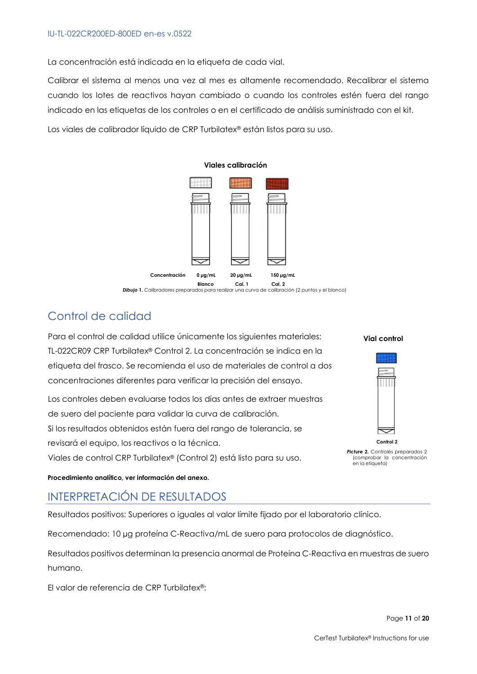La concentración está indicada en la etiqueta de cada vial.

Calibrar el sistema al menos una vez al mes es altamente recomendado. Recalibrar el sistema cuando los lotes de reactivos hayan cambiado o cuando los controles estén fuera del rango indicado en las etiquetas de los controles o en el certificado de análisis suministrado con el kit.

Los viales de calibrador líquido de CRP Turbilatex® están listos para su uso.



## Control de calidad

Para el control de calidad utilice únicamente los siguientes materiales: TL-022CR09 CRP Turbilatex® Control 2. La concentración se indica en la etiqueta del frasco. Se recomienda el uso de materiales de control a dos concentraciones diferentes para verificar la precisión del ensayo.

Los controles deben evaluarse todos los días antes de extraer muestras de suero del paciente para validar la curva de calibración. Si los resultados obtenidos están fuera del rango de tolerancia, se revisará el equipo, los reactivos o la técnica.

Viales de control CRP Turbilatex® (Control 2) está listo para su uso.

**Vial control**

#### **Control 2 Picture 2.** Controles preparados 2 (comprobar la concentración en la etiqueta)

#### **Procedimiento analítico, ver información del anexo.**

## INTERPRETACIÓN DE RESULTADOS

Resultados positivos: Superiores o iguales al valor límite fijado por el laboratorio clínico.

Recomendado: 10 µg proteína C-Reactiva/mL de suero para protocolos de diagnóstico.

Resultados positivos determinan la presencia anormal de Proteína C-Reactiva en muestras de suero humano.

El valor de referencia de CRP Turbilatex®: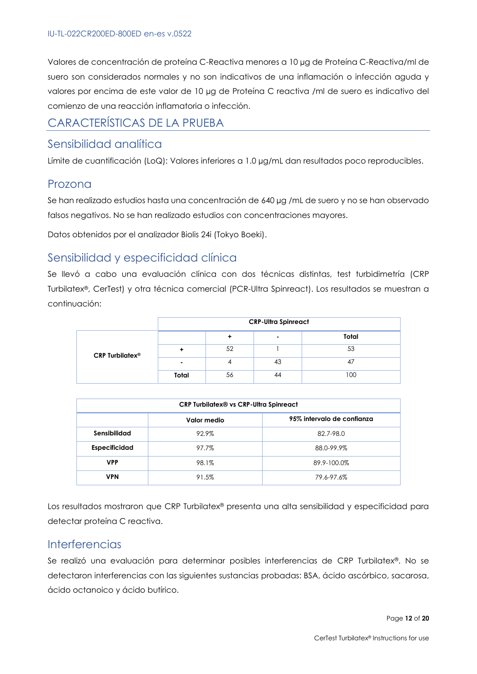Valores de concentración de proteína C-Reactiva menores a 10 µg de Proteína C-Reactiva/ml de suero son considerados normales y no son indicativos de una inflamación o infección aguda y valores por encima de este valor de 10 µg de Proteína C reactiva /ml de suero es indicativo del comienzo de una reacción inflamatoria o infección.

## CARACTERÍSTICAS DE LA PRUEBA

#### Sensibilidad analítica

Límite de cuantificación (LoQ): Valores inferiores a 1.0 µg/mL dan resultados poco reproducibles.

#### Prozona

Se han realizado estudios hasta una concentración de 640 µg /mL de suero y no se han observado falsos negativos. No se han realizado estudios con concentraciones mayores.

Datos obtenidos por el analizador Biolis 24i (Tokyo Boeki).

## Sensibilidad y especificidad clínica

Se llevó a cabo una evaluación clínica con dos técnicas distintas, test turbidimetría (CRP Turbilatex®, CerTest) y otra técnica comercial (PCR-Ultra Spinreact). Los resultados se muestran a continuación:

|                             | <b>CRP-Ultra Spinreact</b> |    |    |       |
|-----------------------------|----------------------------|----|----|-------|
|                             |                            |    |    | Total |
| CRP Turbilatex <sup>®</sup> |                            | 52 |    | 53    |
|                             |                            |    | 43 |       |
|                             | Total                      | 56 | 44 | 100   |

| <b>CRP Turbilatex® vs CRP-Ultra Spinreact</b> |       |             |  |  |
|-----------------------------------------------|-------|-------------|--|--|
| 95% intervalo de confianza<br>Valor medio     |       |             |  |  |
| Sensibilidad                                  | 92.9% | 82.7-98.0   |  |  |
| <b>Especificidad</b>                          | 97.7% | 88.0-99.9%  |  |  |
| <b>VPP</b>                                    | 98.1% | 89.9-100.0% |  |  |
| <b>VPN</b>                                    | 91.5% | 79.6-97.6%  |  |  |

Los resultados mostraron que CRP Turbilatex® presenta una alta sensibilidad y especificidad para detectar proteína C reactiva.

#### **Interferencias**

Se realizó una evaluación para determinar posibles interferencias de CRP Turbilatex®. No se detectaron interferencias con las siguientes sustancias probadas: BSA, ácido ascórbico, sacarosa, ácido octanoico y ácido butírico.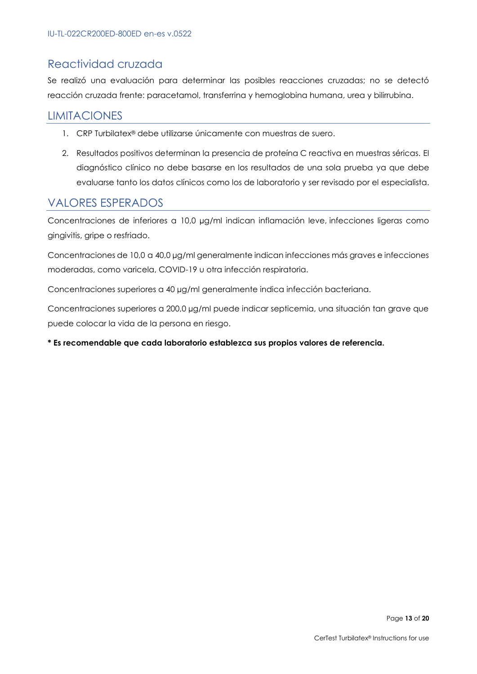## Reactividad cruzada

Se realizó una evaluación para determinar las posibles reacciones cruzadas; no se detectó reacción cruzada frente: paracetamol, transferrina y hemoglobina humana, urea y bilirrubina.

## LIMITACIONES

- 1. CRP Turbilatex® debe utilizarse únicamente con muestras de suero.
- 2. Resultados positivos determinan la presencia de proteína C reactiva en muestras séricas. El diagnóstico clínico no debe basarse en los resultados de una sola prueba ya que debe evaluarse tanto los datos clínicos como los de laboratorio y ser revisado por el especialista.

#### VALORES ESPERADOS

Concentraciones de inferiores a 10,0 µg/ml indican inflamación leve, infecciones ligeras como gingivitis, gripe o resfriado.

Concentraciones de 10,0 a 40,0 µg/ml generalmente indican infecciones más graves e infecciones moderadas, como varicela, COVID-19 u otra infección respiratoria.

Concentraciones superiores a 40 µg/ml generalmente indica infección bacteriana.

Concentraciones superiores a 200,0 µg/ml puede indicar septicemia, una situación tan grave que puede colocar la vida de la persona en riesgo.

#### **\* Es recomendable que cada laboratorio establezca sus propios valores de referencia.**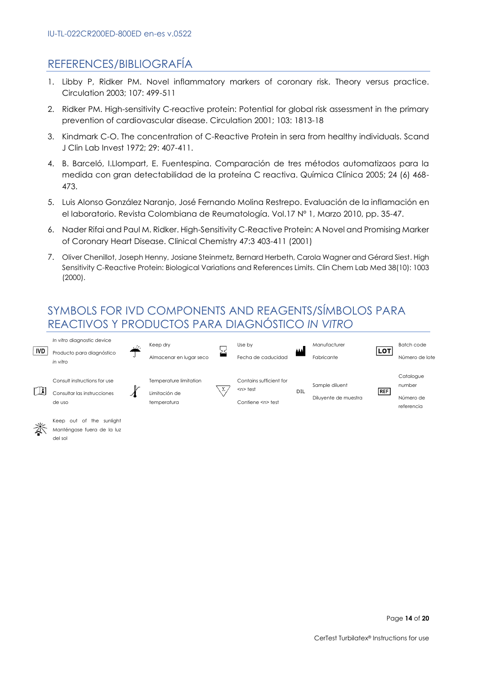## REFERENCES/BIBLIOGRAFÍA

- 1. Libby P, Ridker PM. Novel inflammatory markers of coronary risk. Theory versus practice. Circulation 2003; 107: 499-511
- 2. Ridker PM. High-sensitivity C-reactive protein: Potential for global risk assessment in the primary prevention of cardiovascular disease. Circulation 2001; 103: 1813-18
- 3. Kindmark C-O. The concentration of C-Reactive Protein in sera from healthy individuals. Scand J Clin Lab Invest 1972; 29: 407-411.
- 4. B. Barceló, I.Llompart, E. Fuentespina. Comparación de tres métodos automatizaos para la medida con gran detectabilidad de la proteína C reactiva. Química Clínica 2005; 24 (6) 468- 473.
- 5. Luis Alonso González Naranjo, José Fernando Molina Restrepo. Evaluación de la inflamación en el laboratorio. Revista Colombiana de Reumatología. Vol.17 Nº 1, Marzo 2010, pp. 35-47.
- 6. Nader Rifai and Paul M. Ridker. High-Sensitivity C-Reactive Protein: A Novel and Promising Marker of Coronary Heart Disease. Clinical Chemistry 47:3 403-411 (2001)
- 7. Oliver Chenillot, Joseph Henny, Josiane Steinmetz, Bernard Herbeth, Carola Wagner and Gérard Siest. High Sensitivity C-Reactive Protein: Biological Variations and References Limits. Clin Chem Lab Med 38(10): 1003 (2000).

## SYMBOLS FOR IVD COMPONENTS AND REAGENTS/SÍMBOLOS PARA REACTIVOS Y PRODUCTOS PARA DIAGNÓSTICO *IN VITRO*





Manténgase fuera de la luz del sol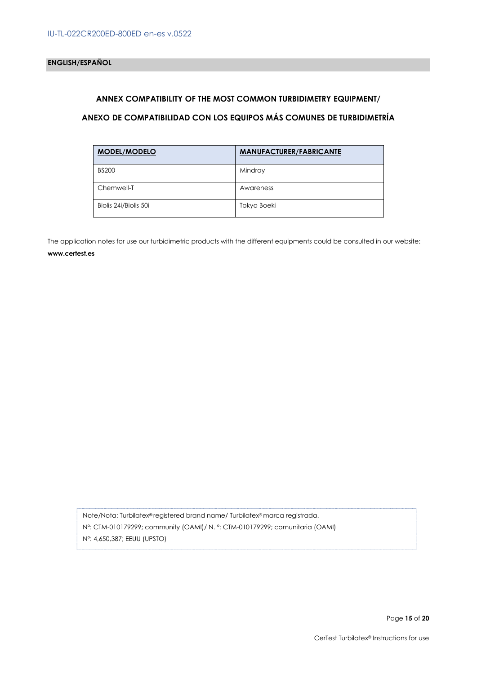#### **ANNEX COMPATIBILITY OF THE MOST COMMON TURBIDIMETRY EQUIPMENT/**

#### **ANEXO DE COMPATIBILIDAD CON LOS EQUIPOS MÁS COMUNES DE TURBIDIMETRÍA**

| <b>MODEL/MODELO</b>   | <b>MANUFACTURER/FABRICANTE</b> |
|-----------------------|--------------------------------|
| <b>BS200</b>          | Mindray                        |
| Chemwell-T            | Awareness                      |
| Biolis 24i/Biolis 50i | Tokyo Boeki                    |

The application notes for use our turbidimetric products with the different equipments could be consulted in our website: **www.certest.es**

Note/Nota: Turbilatex® registered brand name/ Turbilatex® marca registrada. Nº: CTM-010179299; community (OAMI)/ N. º: CTM-010179299; comunitaria (OAMI) Nº: 4,650,387; EEUU (UPSTO)

Page **15** of **20**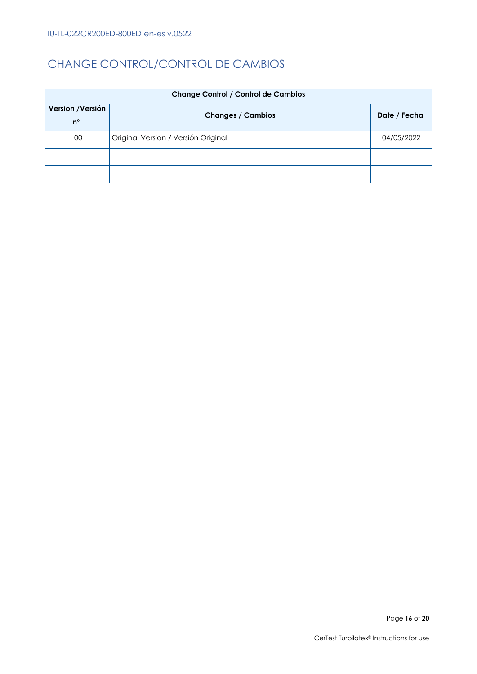## CHANGE CONTROL/CONTROL DE CAMBIOS

| <b>Change Control / Control de Cambios</b> |                                     |              |  |
|--------------------------------------------|-------------------------------------|--------------|--|
| Version / Versión                          | <b>Changes / Cambios</b>            | Date / Fecha |  |
| $n^{\circ}$                                |                                     |              |  |
| 00                                         | Original Version / Versión Original | 04/05/2022   |  |
|                                            |                                     |              |  |
|                                            |                                     |              |  |

Page 16 of 20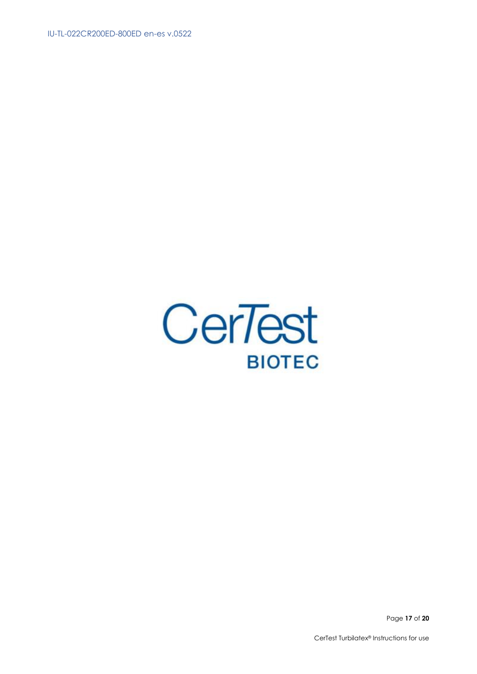IU-TL-022CR200ED-800ED en-es v.0522



Page 17 of 20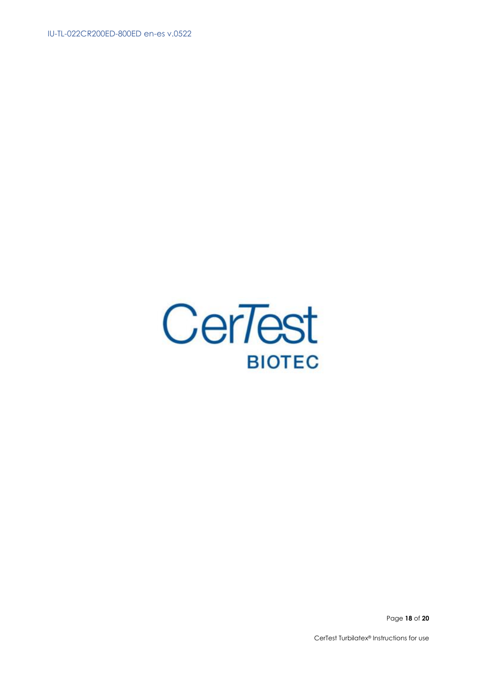IU-TL-022CR200ED-800ED en-es v.0522



Page 18 of 20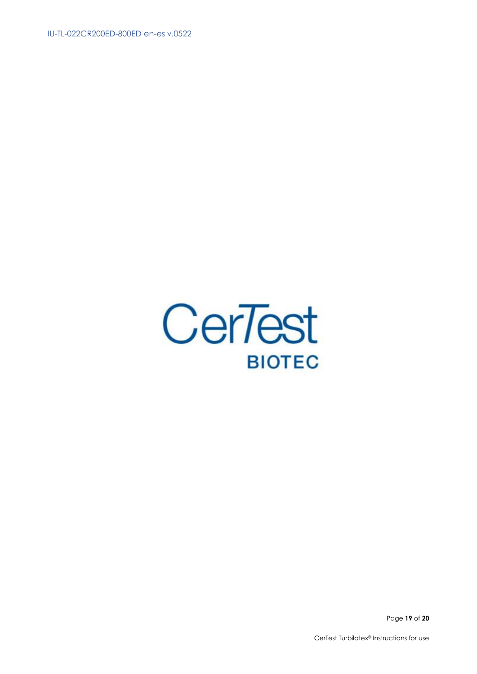IU-TL-022CR200ED-800ED en-es v.0522



Page 19 of 20